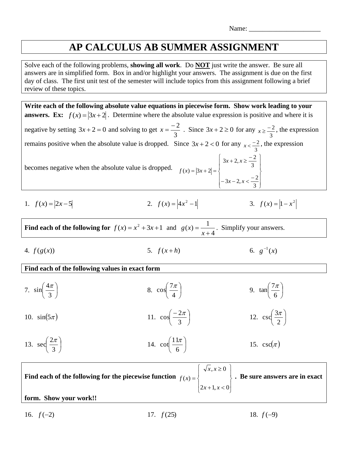## **AP CALCULUS AB SUMMER ASSIGNMENT**

Solve each of the following problems, **showing all work**. Do **NOT** just write the answer. Be sure all answers are in simplified form. Box in and/or highlight your answers. The assignment is due on the first day of class. The first unit test of the semester will include topics from this assignment following a brief review of these topics.

**Write each of the following absolute value equations in piecewise form. Show work leading to your answers.** Ex:  $f(x) = |3x + 2|$ . Determine where the absolute value expression is positive and where it is negative by setting  $3x + 2 = 0$  and solving to get 3  $x = \frac{-2}{2}$ . Since  $3x + 2 \ge 0$  for any 3  $x \geq \frac{-2}{2}$ , the expression remains positive when the absolute value is dropped. Since  $3x + 2 < 0$  for any 3  $x < \frac{-2}{x}$ , the expression becomes negative when the absolute value is dropped.  $\mathbf{I}$  $\perp$ J  $\overline{\phantom{a}}$  $\left\{ \right.$  $\begin{matrix} \end{matrix}$ Ł  $\mathbf{I}$  $\mathfrak{t}$  $\vert$ ₹  $\left\lceil \right\rceil$  $-3x-2, x < +2, x \geq = |3x + 2| =$ 3  $3x - 2, x < \frac{-2}{x}$ 3  $3x + 2, x \geq \frac{-2}{2}$  $(x) = |3x + 2|$  $x-2, x$  $x + 2, x$  $f(x) = 3x$ 1.  $f(x) = |2x-5|$ 2.  $f(x) = |4x^2 - 1|$ <br>3.  $f(x) = |1 - x^2|$ **Find each of the following for**  $f(x) = x^2 + 3x + 1$  and 4  $(x) = \frac{1}{x}$ + = *x*  $g(x) = \frac{1}{x}$ . Simplify your answers. 4.  $f(g(x))$ 5.  $f(x+h)$  6.  $g^{-1}(x)$ **Find each of the following values in exact form** 7.  $\sin \frac{4\pi}{2}$ J  $\left(\frac{4\pi}{2}\right)$  $\setminus$ ſ 3  $\sin\left(\frac{4\pi}{2}\right)$ 8.  $\cos \frac{7\pi}{4}$ J  $\left(\frac{7\pi}{4}\right)$  $\setminus$ ſ 4  $\cos \left( \frac{7\pi}{2} \right)$ 9.  $\tan \frac{7\pi}{5}$ J  $\left(\frac{7\pi}{4}\right)$  $\setminus$ ſ 6  $tan\left(\frac{7\pi}{4}\right)$ 10.  $sin(5\pi)$ 11.  $\cos \frac{2\pi}{2}$ J  $\left(\frac{-2\pi}{2}\right)$  $\setminus$  − 3  $\cos\left(\frac{-2\pi}{2}\right)$ 12.  $\csc \frac{3\pi}{2}$ J  $\left(\frac{3\pi}{2}\right)$  $\setminus$ ſ 2  $\csc \left( \frac{3\pi}{2} \right)$ 13. sec $\frac{2\pi}{2}$ J  $\left(\frac{2\pi}{\sigma}\right)$  $\setminus$ ſ 3  $\sec \left( \frac{2\pi}{2} \right)$ 14.  $cot \frac{11\pi}{6}$ J  $\left(\frac{11\pi}{\epsilon}\right)$  $\setminus$ ſ 6  $\cot \left( \frac{11\pi}{2} \right)$ 15.  $\csc(\pi)$ **Find each of the following for the piecewise function**  $\mathbf{I}$ J  $\mathbf{I}$  $\left\{ \right.$  $\begin{matrix} \phantom{-} \end{matrix}$  $\mathbf{L}$  $\mathbf{R}$  $\overline{ }$ ₹  $\int$  $+1, x <$  $\geq$ =  $2x + 1, x < 0$  $, x \geq 0$  $\left( x\right)$  $x + 1$ , x *x x*  $f(x) = \begin{cases} \end{cases}$  **Be sure answers are in exact** 

**form. Show your work!!**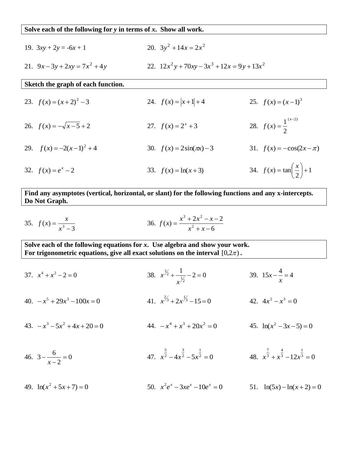## **Solve each of the following for** *y* **in terms of** *x***. Show all work.**

- 19.  $3xy + 2y = -6x + 1$  $3y^2 + 14x = 2x^2$
- 21.  $9x 3y + 2xy = 7x^2 + 4y$ 22.  $12x^2y + 70xy - 3x^3 + 12x = 9y + 13x^2$

## **Sketch the graph of each function.**

23.  $f(x) = (x+2)^2 - 3$ *f*  $f(x) = |x+1| + 4$ 25.  $f(x) = (x-1)^3$ 26.  $f(x) = -\sqrt{x-5} + 2$ 27.  $f(x) = 2^x + 3$  28.  $(x-2)$ 2  $(x) = \frac{1}{x}$ − = *x f x* 29.  $f(x) = -2(x-1)^2 + 4$ 30.  $f(x) = 2\sin(\pi x) - 3$ 31.  $f(x) = -\cos(2x - \pi)$ 32.  $f(x) = e^x - 2$ 33.  $f(x) = \ln(x+3)$ 34.  $f(x) = \tan \left| \frac{x}{2} \right| + 1$  $f(x) = \tan \left| \frac{x}{2} \right| +$  $\left(\frac{x}{2}\right)$  $f(x) = \tan\left(\frac{x}{2}\right)$ 

**Find any asymptotes (vertical, horizontal, or slant) for the following functions and any x-intercepts. Do Not Graph.**

2

 $\setminus$ 

J

35. 
$$
f(x) = \frac{x}{x^3 - 3}
$$
  
36.  $f(x) = \frac{x^3 + 2x^2 - x - 2}{x^2 + x - 6}$ 

**Solve each of the following equations for** *x***. Use algebra and show your work.** For trigonometric equations, give all exact solutions on the interval  $[0,2\pi)$  **.** 

- 37.  $x^4 + x^2 2 = 0$ 38. *x x*  $\frac{1}{r^{\frac{1}{2}}}$  $+\frac{1}{\sqrt{1}} - 2 = 0$ 39.  $15x - \frac{4}{5} = 4$ *x*  $-\frac{1}{x} = 4$
- $40. -x^5 + 29x^3 100x = 0$ 41.  $x^{2/3} + 2x^{1/3} - 15 = 0$ 42.  $4x^2 - x^3 = 0$
- $43. -x^3 5x^2 + 4x + 20 = 0$ 44.  $-x^4 + x^3 + 20x^2 = 0$ 45.  $ln(x^2 - 3x - 5) = 0$
- 46.  $3-\frac{6}{1}=0$ 2  $3 - \frac{6}{6} =$ − − *x* 47.  $x^2 - 4x^2 - 5x^2 = 0$ 1 2 3 2 5  $x^2 - 4x^2 - 5x^2 =$ 48.  $x^3 + x^3 - 12x^3 = 0$ 1 3 4 3 7  $x^3 + x^3 - 12x^3 =$
- 49.  $ln(x^2 + 5x + 7) = 0$ 50.  $x^2 e^x - 3xe^x - 10e^x = 0$ 51.  $ln(5x) - ln(x+2) = 0$